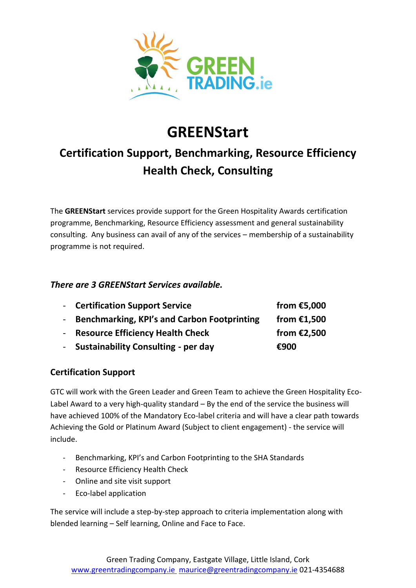

# **GREENStart**

# **Certification Support, Benchmarking, Resource Efficiency Health Check, Consulting**

The **GREENStart** services provide support for the Green Hospitality Awards certification programme, Benchmarking, Resource Efficiency assessment and general sustainability consulting. Any business can avail of any of the services – membership of a sustainability programme is not required.

#### *There are 3 GREENStart Services available.*

| - Certification Support Service                    | from $£5,000$ |
|----------------------------------------------------|---------------|
| <b>Benchmarking, KPI's and Carbon Footprinting</b> | from $£1,500$ |
| - Resource Efficiency Health Check                 | from $£2,500$ |
| <b>Sustainability Consulting - per day</b>         | €900          |

## **Certification Support**

GTC will work with the Green Leader and Green Team to achieve the Green Hospitality Eco-Label Award to a very high-quality standard – By the end of the service the business will have achieved 100% of the Mandatory Eco-label criteria and will have a clear path towards Achieving the Gold or Platinum Award (Subject to client engagement) - the service will include.

- Benchmarking, KPI's and Carbon Footprinting to the SHA Standards
- Resource Efficiency Health Check
- Online and site visit support
- Eco-label application

The service will include a step-by-step approach to criteria implementation along with blended learning – Self learning, Online and Face to Face.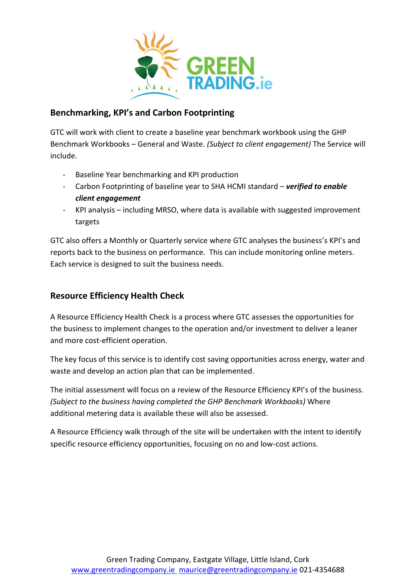

#### **Benchmarking, KPI's and Carbon Footprinting**

GTC will work with client to create a baseline year benchmark workbook using the GHP Benchmark Workbooks – General and Waste. *(Subject to client engagement)* The Service will include.

- Baseline Year benchmarking and KPI production
- Carbon Footprinting of baseline year to SHA HCMI standard *verified to enable client engagement*
- KPI analysis including MRSO, where data is available with suggested improvement targets

GTC also offers a Monthly or Quarterly service where GTC analyses the business's KPI's and reports back to the business on performance. This can include monitoring online meters. Each service is designed to suit the business needs.

## **Resource Efficiency Health Check**

A Resource Efficiency Health Check is a process where GTC assesses the opportunities for the business to implement changes to the operation and/or investment to deliver a leaner and more cost-efficient operation.

The key focus of this service is to identify cost saving opportunities across energy, water and waste and develop an action plan that can be implemented.

The initial assessment will focus on a review of the Resource Efficiency KPI's of the business. *(Subject to the business having completed the GHP Benchmark Workbooks)* Where additional metering data is available these will also be assessed.

A Resource Efficiency walk through of the site will be undertaken with the intent to identify specific resource efficiency opportunities, focusing on no and low-cost actions.